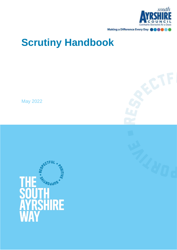

# **Scrutiny Handbook**

May 2022

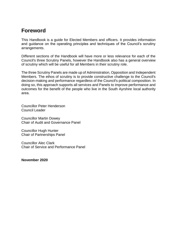# **Foreword**

This Handbook is a guide for Elected Members and officers. It provides information and guidance on the operating principles and techniques of the Council's scrutiny arrangements.

Different sections of the Handbook will have more or less relevance for each of the Council's three Scrutiny Panels, however the Handbook also has a general overview of scrutiny which will be useful for all Members in their scrutiny role.

The three Scrutiny Panels are made up of Administration, Opposition and Independent Members. The ethos of scrutiny is to provide constructive challenge to the Council's decision-making and performance regardless of the Council's political composition. In doing so, this approach supports all services and Panels to improve performance and outcomes for the benefit of the people who live in the South Ayrshire local authority area.

Councillor Peter Henderson Council Leader

Councillor Martin Dowey Chair of Audit and Governance Panel

Councillor Hugh Hunter Chair of Partnerships Panel

Councillor Alec Clark Chair of Service and Performance Panel

**November 2020**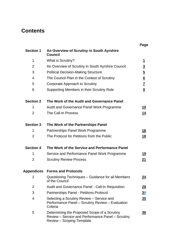# **Contents**

|                  |                                                                                                                                       | Page            |
|------------------|---------------------------------------------------------------------------------------------------------------------------------------|-----------------|
| <b>Section 1</b> | An Overview of Scrutiny in South Ayrshire<br><b>Council</b>                                                                           |                 |
| 1                | What is Scrutiny?                                                                                                                     | $\overline{1}$  |
| 2                | An Overview of Scrutiny in South Ayrshire Council                                                                                     | $\overline{3}$  |
| 3                | <b>Political Decision-Making Structure</b>                                                                                            | $\overline{5}$  |
| $\overline{4}$   | The Council Plan in the Context of Scrutiny                                                                                           | $\underline{6}$ |
| 5                | Corporate Approach to Scrutiny                                                                                                        | $\underline{7}$ |
| 6                | Supporting Members in their Scrutiny Role                                                                                             | $\overline{9}$  |
| <b>Section 2</b> | The Work of the Audit and Governance Panel                                                                                            |                 |
| 1                | <b>Audit and Governance Panel Work Programme</b>                                                                                      | <u> 10</u>      |
| $\overline{2}$   | The Call-In Process                                                                                                                   | <u>14</u>       |
| <b>Section 3</b> | The Work of the Partnerships Panel                                                                                                    |                 |
| 1                | Partnerships Panel Work Programme                                                                                                     | 16              |
| 2                | The Protocol for Petitions from the Public                                                                                            | <u>18</u>       |
| <b>Section 4</b> | The Work of the Service and Performance Panel                                                                                         |                 |
| 1                | Service and Performance Panel Work Programme                                                                                          | <u> 19</u>      |
| $\overline{2}$   | <b>Scrutiny Review Process</b>                                                                                                        | <u>21</u>       |
| Appendices       | <b>Forms and Protocols</b>                                                                                                            |                 |
| 1                | Questioning Techniques - Guidance for all Members<br>of the Council                                                                   | <u> 24</u>      |
| 2                | <b>Audit and Governance Panel - Call-In Requisition</b>                                                                               | 28              |
| 3                | Partnerships Panel - Petitions Protocol                                                                                               | 30              |
| 4                | Selecting a Scrutiny Review - Service and<br>Performance Panel - Scrutiny Review - Evaluation<br>Criteria                             | $\overline{35}$ |
| 5                | Determining the Proposed Scope of a Scrutiny<br>Review - Service and Performance Panel - Scrutiny<br><b>Review - Scoping Template</b> | $\overline{36}$ |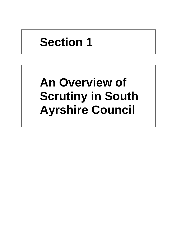# **Section 1**

# **An Overview of Scrutiny in South Ayrshire Council**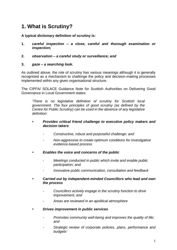# <span id="page-7-0"></span>**1. What is Scrutiny?**

**A typical dictionary definition of scrutiny is:**

- **1.** *careful inspection – a close, careful and thorough examination or inspection;*
- **2.** *observation – a careful study or surveillance; and*

### **3.** *gaze – a searching look.*

As outlined above, the role of scrutiny has various meanings although it is generally recognised as a mechanism to challenge the policy and decision-making processes implemented within any given organisational structure.

The CIPFA/ SOLACE Guidance Note for Scottish Authorities on Delivering Good Governance in Local Government states:

'*There is no legislative definition of scrutiny for Scottish local government. The four principles of good scrutiny (as defined by the Centre for Public Scrutiny) can be used in the absence of any legislative definition:*

#### *Provides critical friend challenge to executive policy makers and decision takers*

- *- Constructive, robust and purposeful challenge; and*
- *- Non-aggressive to create optimum conditions for investigative evidence-based process*
- *Enables the voice and concerns of the public*
	- *- Meetings conducted in public which invite and enable public participation; and*
	- *- Innovative public communication, consultation and feedback*
- *Carried out by independent-minded Councillors who lead and own the process*
	- *- Councillors actively engage in the scrutiny function to drive improvement; and*
	- *- Areas are reviewed in an apolitical atmosphere*
- *Drives improvement in public services*
	- *- Promotes community well-being and improves the quality of life; and*
	- *- Strategic review of corporate policies, plans, performance and budgets'*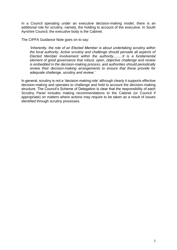In a Council operating under an executive decision-making model, there is an additional role for scrutiny, namely, the holding to account of the executive. In South Ayrshire Council, the executive body is the Cabinet.

The CIPFA Guidance Note goes on to say:

*'Inherently, the role of an Elected Member is about undertaking scrutiny within the local authority. Active scrutiny and challenge should pervade all aspects of Elected Member involvement within the authority.........It is a fundamental element of good governance that robust, open, objective challenge and review is embedded in the decision-making process, and authorities should periodically review their decision-making arrangements to ensure that these provide for adequate challenge, scrutiny and review.'*

In general, scrutiny is not a 'decision-making role' although clearly it supports effective decision-making and operates to challenge and hold to account the decision-making structure. The Council's Scheme of Delegation is clear that the responsibility of each Scrutiny Panel includes making recommendations to the Cabinet (or Council if appropriate) on matters where actions may require to be taken as a result of issues identified through scrutiny processes.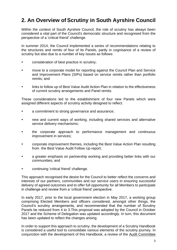# <span id="page-9-0"></span>**2. An Overview of Scrutiny in South Ayrshire Council**

Within the context of South Ayrshire Council, the role of scrutiny has always been considered a vital part of the Council's democratic structure and recognised from the perspective of a 'critical friend' challenge.

In summer 2014, the Council implemented a series of recommendations relating to the structures and remits of four of its Panels, partly in cognisance of a review of scrutiny but also due to a number of key issues as follows:

- consideration of best practice in scrutiny;
- move to a corporate model for reporting against the Council Plan and Service and Improvement Plans (SIPs) based on service remits rather than portfolio remits; and
- links to follow up of Best Value Audit Action Plan in relation to the effectiveness of current scrutiny arrangements and Panel remits.

These considerations led to the establishment of four new Panels which were assigned different aspects of scrutiny activity designed to reflect:

- a commitment to strong governance and assurance;
- new and current ways of working, including shared services and alternative service delivery mechanisms;
- the corporate approach to performance management and continuous improvement in services;
- corporate improvement themes, including the Best Value Action Plan resulting from the Best Value Audit Follow Up report;
- a greater emphasis on partnership working and providing better links with our communities; and
- continuing 'critical friend' challenge.

This approach recognised the desire for the Council to better reflect the concerns and interests of our partners, communities and our service users in ensuring successful delivery of agreed outcomes and to offer full opportunity for all Members to participate in challenge and review from a 'critical friend' perspective.

In early 2017, prior to the local government election in May 2017, a working group comprising Elected Members and officers considered, amongst other things, the Council's scrutiny arrangements, and recommended that the number of Scrutiny Panels be reduced from 4 to 3.This proposal was adopted by the Council in October 2017 and the Scheme of Delegation was updated accordingly. In turn, this document has been updated to reflect the changes arising.

In order to support this approach to scrutiny, the development of a Scrutiny Handbook is considered a useful tool to consolidate various elements of the scrutiny journey. In conjunction with the development of this Handbook, a review of the [Audit Committee](http://ww20.south-ayrshire.gov.uk/corporateservices/LegalAdmin/CommitteeInformation/Audit%20Committee%20Handbook.pdf)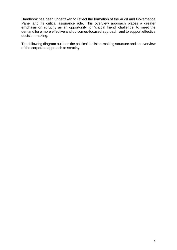[Handbook](http://ww20.south-ayrshire.gov.uk/corporateservices/LegalAdmin/CommitteeInformation/Audit%20Committee%20Handbook.pdf) has been undertaken to reflect the formation of the Audit and Governance Panel and its critical assurance role. This overview approach places a greater emphasis on scrutiny as an opportunity for 'critical friend' challenge, to meet the demand for a more effective and outcomes-focused approach, and to support effective decision-making.

The following diagram outlines the political decision-making structure and an overview of the corporate approach to scrutiny.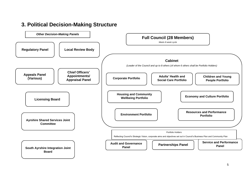<span id="page-11-0"></span>

## **3. Political Decision-Making Structure**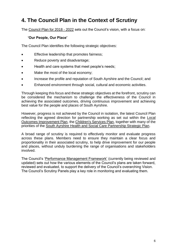# <span id="page-12-0"></span>**4. The Council Plan in the Context of Scrutiny**

The [Council Plan for 2018 -](https://ww20.south-ayrshire.gov.uk/ext/committee/committeepapers2017/South%20Ayrshire%20Council/14%20December%202017/item%2015%20SAC-14dec17-Council%20Plan%202018-22.pdf) 2022 sets out the Council's vision, with a focus on:

#### **'Our People, Our Place'**

The Council Plan identifies the following strategic objectives:

- Effective leadership that promotes fairness:
- Reduce poverty and disadvantage;
- Health and care systems that meet people's needs;
- Make the most of the local economy;
- Increase the profile and reputation of South Ayrshire and the Council; and
- Enhanced environment through social, cultural and economic activities.

Through keeping this focus and these strategic objectives at the forefront, scrutiny can be considered the mechanism to challenge the effectiveness of the Council in achieving the associated outcomes, driving continuous improvement and achieving best value for the people and places of South Ayrshire.

However, progress is not achieved by the Council in isolation, the latest Council Plan reflecting the agreed direction for partnership working as set out within the [Local](https://www.south-ayrshire.gov.uk/cpp/documents/South%20Ayrshire%20CPP%20-%20Local%20Outcome%20Improvement%20Plan%20and%20Local%20Place%20Plans.pdf)  [Outcomes Improvement Plan,](https://www.south-ayrshire.gov.uk/cpp/documents/South%20Ayrshire%20CPP%20-%20Local%20Outcome%20Improvement%20Plan%20and%20Local%20Place%20Plans.pdf) the [Children's Services Plan,](https://www.south-ayrshire.gov.uk/documents/children) together with many of the priorities of the [South Ayrshire Health and Social Care Partnership Strategic Plan.](https://www.south-ayrshire.gov.uk/health-social-care-partnership/documents/South%20Ayrshire%20Health%20and%20Social%20Care%20Partnership%20Strategic%20Plan%202016%20to%202019%20Volume%201.pdf)

A broad range of scrutiny is required to effectively monitor and evaluate progress across these plans. Members need to ensure they maintain a clear focus and proportionality in their associated scrutiny, to help drive improvement for our people and places, without unduly burdening the range of organisations and stakeholders involved.

The Council's ['Performance Management Framework'](https://ww20.south-ayrshire.gov.uk/ext/committee/committeepapers2017/Service%20and%20Performance%20Panel/28%20June%202017/item%205%20Performance%20Management%20Framework.pdf) (currently being reviewed and updated) sets out how the various elements of the Council's plans are taken forward, reviewed and evaluated, to support the delivery of the Council's overarching Vision. The Council's Scrutiny Panels play a key role in monitoring and evaluating them.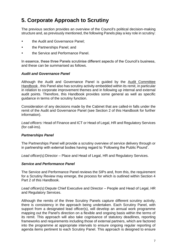# <span id="page-13-0"></span>**5. Corporate Approach to Scrutiny**

The previous section provides an overview of the Council's political decision-making structure and, as previously mentioned, the following Panels play a key role in scrutiny:

- the Audit and Governance Panel;
- the Partnerships Panel; and
- the Service and Performance Panel.

In essence, these three Panels scrutinise different aspects of the Council's business, and these can be summarised as follows.

#### *Audit and Governance Panel*

Although the Audit and Governance Panel is guided by the [Audit Committee](http://ww20.south-ayrshire.gov.uk/corporateservices/LegalAdmin/CommitteeInformation/Audit%20Committee%20Handbook.pdf)  [Handbook](http://ww20.south-ayrshire.gov.uk/corporateservices/LegalAdmin/CommitteeInformation/Audit%20Committee%20Handbook.pdf) , this Panel also has scrutiny activity embedded within its remit, in particular in relation to corporate improvement themes and in following up internal and external audit points. Therefore, this Handbook provides some general as well as specific guidance in terms of the scrutiny function.

Consideration of any decisions made by the Cabinet that are called-in falls under the remit of the Audit and Governance Panel (see Section 2 of this Handbook for further information).

*Lead officers:* Head of Finance and ICT or Head of Legal, HR and Regulatory Services (for call-ins).

#### *Partnerships Panel*

The Partnerships Panel will provide a scrutiny overview of service delivery through or in partnership with external bodies having regard to 'Following the Public Pound'.

*Lead officer(s):*Director – Place and Head of Legal, HR and Regulatory Services.

#### *Service and Performance Panel*

The Service and Performance Panel reviews the SIPs and, from this, the requirement for a Scrutiny Review may emerge, the process for which is outlined within Section 4 Part 2 of this Handbook.

*Lead officer(s):*Depute Chief Executive and Director – People and Head of Legal, HR and Regulatory Services.

Although the remits of the three Scrutiny Panels capture different scrutiny activity, there is consistency in the approach being undertaken. Each Scrutiny Panel, with support from a designated lead officer(s), will develop an annual work programme mapping out the Panel's direction on a flexible and ongoing basis within the terms of its remit. This approach will also take cognisance of statutory deadlines, reporting frameworks and requirements including those of external partners, which are factored into the programme at appropriate intervals to ensure ongoing regular reporting of agenda items pertinent to each Scrutiny Panel. This approach is designed to ensure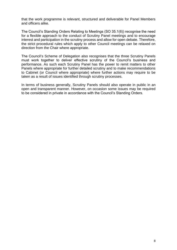that the work programme is relevant, structured and deliverable for Panel Members and officers alike.

The Council's Standing Orders Relating to Meetings (SO 35.1(6)) recognise the need for a flexible approach to the conduct of Scrutiny Panel meetings and to encourage interest and participation in the scrutiny process and allow for open debate. Therefore, the strict procedural rules which apply to other Council meetings can be relaxed on direction from the Chair where appropriate.

The Council's Scheme of Delegation also recognises that the three Scrutiny Panels must work together to deliver effective scrutiny of the Council's business and performance. As such each Scrutiny Panel has the power to remit matters to other Panels where appropriate for further detailed scrutiny and to make recommendations to Cabinet (or Council where appropriate) where further actions may require to be taken as a result of issues identified through scrutiny processes.

In terms of business generally, Scrutiny Panels should also operate in public in an open and transparent manner. However, on occasion some issues may be required to be considered in private in accordance with the Council's Standing Orders.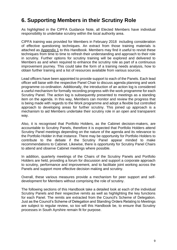# <span id="page-15-0"></span>**6. Supporting Members in their Scrutiny Role**

As highlighted in the CIPFA Guidance Note, all Elected Members have individual responsibility to undertake scrutiny within the local authority area.

CIPFA training was provided for Members in February 2018 including consideration of effective questioning techniques. An extract from those training materials is attached as [Appendix 1](#page-41-0) to this Handbook. Members may find it useful to revisit these techniques from time to time to refresh their understanding and approach to their role in scrutiny. Further options for scrutiny training will be explored and delivered to Members as and when required to enhance the scrutiny role as part of a continuous improvement journey. This could take the form of a training needs analysis, how to obtain further training and a list of resources available from various sources.

Lead officers have been appointed to provide support to each of the Panels. Each lead officer will liaise with the respective Panel Chair to discuss agenda planning and work programme co-ordination. Additionally, the introduction of an action log is considered a useful mechanism for formally recording progress with the work programme for each Scrutiny Panel. The action log is subsequently presented to meetings as a standing item on the agenda. In this way, Members can monitor and review the progress that is being made with regards to the Work programme and adopt a flexible but controlled approach to developing areas for further scrutiny. This joined up approach is a mechanism to aid Members undertake their scrutiny role in an open and transparent way.

Also, it is recognised that Portfolio Holders, as the Cabinet decision-makers, are accountable to Scrutiny Panels, therefore it is expected that Portfolio Holders attend Scrutiny Panel meetings depending on the nature of the agenda and its relevance to the Portfolio Holder in that instance. There may be opportunity for Portfolio Holders to contribute to the debate if the Scrutiny Panel appear minded to make recommendations to Cabinet. Likewise, there is opportunity for Scrutiny Panel Chairs to attend and observe Cabinet meetings where possible.

In addition, quarterly meetings of the Chairs of the Scrutiny Panels and Portfolio Holders are held, providing a forum for discussion and support a corporate approach to scrutiny, performance and improvement, and to facilitate joint working across the Panels and support more effective decision making and scrutiny.

Overall, these various measures provide a mechanism for peer support and selfdevelopment for Members without comprising the role of scrutiny.

The following sections of this Handbook take a detailed look at each of the individual Scrutiny Panels and their respective remits as well as highlighting the key functions for each Panel. The remits are extracted from the Council's Scheme of Delegation. Just as the Council's Scheme of Delegation and Standing Orders Relating to Meetings are subject to regular review, so too will this Handbook be, to ensure that Scrutiny processes in South Ayrshire remain fit for purpose.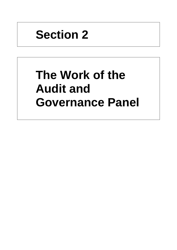# **Section 2**

# **The Work of the Audit and Governance Panel**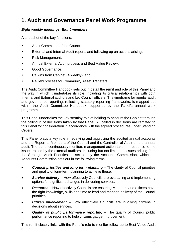# <span id="page-19-0"></span>**1. Audit and Governance Panel Work Programme**

## *Eight weekly meetings :Eight members*

A snapshot of the key functions:

- Audit Committee of the Council;
- External and Internal Audit reports and following up on actions arising;
- Risk Management;
- Annual External Audit process and Best Value Review;
- Good Governance;
- Call-ins from Cabinet (4 weekly); and
- Review process for Community Asset Transfers.

The [Audit Committee Handbook](http://ww20.south-ayrshire.gov.uk/corporateservices/LegalAdmin/CommitteeInformation/Audit%20Committee%20Handbook.pdf) sets out in detail the remit and role of this Panel and the way in which it undertakes its role, including its critical relationships with both Internal and External auditors and key Council officers. The timeframe for regular audit and governance reporting, reflecting statutory reporting frameworks, is mapped out within the Audit Committee Handbook, supported by the Panel's annual work programme.

This Panel undertakes the key scrutiny role of holding to account the Cabinet through the calling in of decisions taken by that Panel. All called in decisions are remitted to this Panel for consideration in accordance with the agreed procedures under Standing Orders.

This Panel plays a key role in receiving and approving the audited annual accounts and the Report to Members of the Council and the Controller of Audit on the annual audit. The panel continuously monitors management action taken in response to the issues raised by the external auditors, including but not limited to issues arising from the Strategic Audit Priorities as set out by the Accounts Commission, which the Accounts Commission sets out in the following terms:

- *Council priorities and long term planning* The clarity of Council priorities and quality of long-term planning to achieve these.
- *Service delivery*  How effectively Councils are evaluating and implementing options for significant changes in delivering services.
- *Resource*  How effectively Councils are ensuring Members and officers have the right knowledge, skills and time to lead and manage delivery of the Council priorities.
- *Citizen involvement*  How effectively Councils are involving citizens in decisions about services.
- *Quality of public performance reporting*  The quality of Council public performance reporting to help citizens gauge improvement.

This remit closely links with the Panel's role to monitor follow-up to Best Value Audit reports.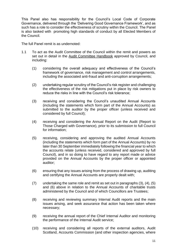This Panel also has responsibility for the Council's Local Code of Corporate Governance, delivered through the 'Delivering Good Governance Framework', and as such has a role to consider the effectiveness of scrutiny within the Council. The Panel is also tasked with promoting high standards of conduct by all Elected Members of the Council.

The full Panel remit is as undernoted:

- 1.1 To act as the Audit Committee of the Council within the remit and powers as set out in detail in the [Audit Committee Handbook](http://ww20.south-ayrshire.gov.uk/corporateservices/LegalAdmin/CommitteeInformation/Audit%20Committee%20Handbook.pdf) approved by Council, and including:
	- (1) considering the overall adequacy and effectiveness of the Council's framework of governance, risk management and control arrangements, including the associated anti-fraud and anti-corruption arrangements;
	- (2) undertaking regular scrutiny of the Council's risk register and challenging the effectiveness of the risk mitigations put in place by risk owners to reduce the risks in line with the Council's risk tolerance;
	- (3) receiving and considering the Council's unaudited Annual Accounts (including the statements which form part of the Annual Accounts) as submitted to the auditor by the proper officer (unless received and considered by full Council);
	- (4) receiving and considering the Annual Report on the Audit (Report to Those Charged with Governance), prior to its submission to full Council for information;
	- (5) receiving, considering and approving the audited Annual Accounts (including the statements which form part of the Annual Accounts) by no later than 30 September immediately following the financial year to which the accounts relate (unless received, considered and approved by full Council), and in so doing to have regard to any report made or advice provided on the Annual Accounts by the proper officer or appointed auditor;
	- (6) ensuring that any issues arising from the process of drawing up, auditing and certifying the Annual Accounts are properly dealt with;
	- (7) undertaking the same role and remit as set out in paragraphs (3), (4), (5) and (6) above in relation to the Annual Accounts of charitable trusts administered by the Council and of which Councillors are Trustees;
	- (8) receiving and reviewing summary Internal Audit reports and the main issues arising, and seek assurance that action has been taken where necessary;
	- (9) receiving the annual report of the Chief Internal Auditor and monitoring the performance of the Internal Audit service;
	- (10) receiving and considering all reports of the external auditors, Audit Scotland, Accounts Commission (and other inspection agencies, where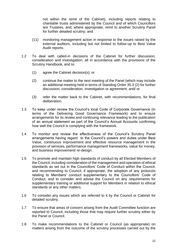not within the remit of the Cabinet), including reports relating to charitable trusts administered by the Council and of which Councillors are Trustees, and, where appropriate, remit to another Scrutiny Panel for further detailed scrutiny; and

- (11) monitoring management action in response to the issues raised by the external auditors, including but not limited to follow-up to Best Value Audit reports.
- 1.2 To deal with called-in decisions of the Cabinet for further discussion, consideration and investigation, all in accordance with the provisions of the Scrutiny Handbook, and to:
	- (1) agree the Cabinet decision(s); or
	- (2) continue the matter to the next meeting of the Panel (which may include an additional meeting held in terms of Standing Order 35.3 (2) for further discussion, consideration, investigation or agreement; and/ or
	- (3) refer the matter back to the Cabinet, with recommendations, for final deliberation.
- 1.3 To keep under review the Council's local Code of Corporate Governance (in terms of the Delivering Good Governance Framework) and to ensure arrangements for its review and continuing relevance leading to the publication of an annual statement as part of the Council's Annual Accounts confirming how well the Council is complying with the framework.
- 1.4 To monitor and review the effectiveness of the Council's Scrutiny Panel arrangements having regard to the Council's powers and duties under Best Value, continuous improvement and effective resource management in the provision of services, performance management frameworks, value for money, and business improvement/ re-design.
- 1.5 To promote and maintain high standards of conduct by all Elected Members of the Council, including consideration of the management and operation of ethical standards as set out in the Councillors' Code of Conduct within the Council, and recommending to Council, if appropriate, the adoption of any protocols relating to Members' conduct supplementary to the Councillors' Code of Conduct, and to consider and advise the Council on any requirements for supplementary training or additional support for Members in relation to ethical standards or any other matters.
- 1.6 To consider any issues which are referred to it by the Council or Cabinet for detailed scrutiny.
- 1.7 To ensure that areas of concern arising from the Audit Committee function are reported to Council, including those that may require further scrutiny either by the Panel or Council.
- 1.8 To make recommendations to the Cabinet or Council (as appropriate) on matters arising from the outcome of the scrutiny processes carried out by the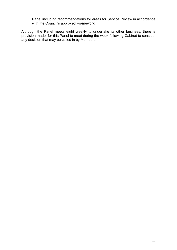Panel including recommendations for areas for Service Review in accordance with the Council's approved **Framework**.

Although the Panel meets eight weekly to undertake its other business, there is provision made for this Panel to meet during the week following Cabinet to consider any decision that may be called in by Members.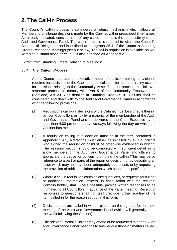# <span id="page-23-0"></span>**2. The Call-In Process**

The Council's call-in process is considered a robust mechanism which allows all Members to challenge decisions made by the Cabinet within prescribed timeframes. As already indicated, consideration of any called-in items is the responsibility of the Audit and Governance Panel. The call-in process is referred to within the Council's Scheme of Delegation and is outlined at paragraph 35.4 of the Council's Standing Orders Relating to Meetings (set out below).The call-in requisition is available on Re-Wired as a 'stand alone' form, but is also attached as [Appendix 2.](#page-45-0)

Extract from Standing Orders Relating to Meetings:

#### 35.4 *The 'Call-In' Process*

As the Council operates an 'executive model' of decision making, provision is required for decisions of the Cabinet to be 'called in' for further scrutiny except for decisions relating to the Community Asset Transfer process that follow a separate process to comply with Part 5 of the Community Empowerment (Scotland) Act 2015 as detailed in Standing Order 35.10. Call-ins shall be considered and dealt with by the Audit and Governance Panel in accordance with the following provisions:

- (1) Requisitions calling-in decisions of the Cabinet must be signed either (a) by four Councillors or (b) by a majority of the membership of the Audit and Governance Panel and be delivered to the Chief Executive by no later than 4.00 pm on the day two days following the day on which the Cabinet has met.
- (2) A requisition calling in a decision must be in the form contained in [Appendix 2.](#page-45-0)Any alterations must either be initialled by all Councillors who signed the requisition or must be otherwise evidenced in writing. The 'reasons' section should be completed with sufficient detail as to allow members of the Audit and Governance Panel and officers to appreciate the cause for concern prompting the call-in.(This may be by reference to a part or parts of the report or decision**,** or by describing an issue which may not have been adequately addressed**,** or by requesting the provision of additional information which should be specified).
- (3) Where a call-in requisition contains any questions, or requests for further or additional information, officers, in consultation with the relevant Portfolio holder, shall, where possible, provide written responses to be intimated to all Councillors in advance of the Panel meeting. Receipt of responses to questions shall not itself preclude further scrutiny of the item called-in for the reason set out in this form.
- (4) Decisions that are called-in will be placed on the agenda for the next meeting of the Audit and Governance Panel (which will generally be in the week following the Cabinet).
- (5) The relevant Portfolio Holder may attend or be requested to attend Audit and Governance Panel meetings to answer questions on matters calledin.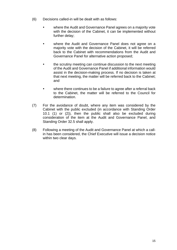- (6) Decisions called-in will be dealt with as follows:
	- where the Audit and Governance Panel agrees on a majority vote with the decision of the Cabinet, it can be implemented without further delay;
	- where the Audit and Governance Panel does not agree on a majority vote with the decision of the Cabinet, it will be referred back to the Cabinet with recommendations from the Audit and Governance Panel for alternative action proposed;
	- the scrutiny meeting can continue discussion to the next meeting of the Audit and Governance Panel if additional information would assist in the decision-making process. If no decision is taken at that next meeting, the matter will be referred back to the Cabinet; and
	- where there continues to be a failure to agree after a referral back to the Cabinet, the matter will be referred to the Council for determination.
- (7) For the avoidance of doubt, where any item was considered by the Cabinet with the public excluded (in accordance with Standing Order 10.1 (1) or (2)), then the public shall also be excluded during consideration of the item at the Audit and Governance Panel, and Standing Order 32.5 shall apply.
- (8) Following a meeting of the Audit and Governance Panel at which a callin has been considered, the Chief Executive will issue a decision notice within two clear days.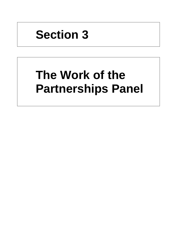# **Section 3**

# **The Work of the Partnerships Panel**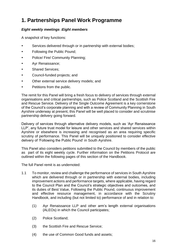# <span id="page-27-0"></span>**1. Partnerships Panel Work Programme**

## *Eight weekly meetings :Eight members*

A snapshot of key functions:

- Services delivered through or in partnership with external bodies:
- Following the Public Pound;
- Police/ Fire/ Community Planning;
- Ayr Renaissance;
- Shared Services;
- Council-funded projects; and
- Other external service delivery models; and
- Petitions from the public.

The remit for this Panel will bring a fresh focus to delivery of services through external organisations and critical partnerships, such as Police Scotland and the Scottish Fire and Rescue Service. Delivery of the Single Outcome Agreement is a key cornerstone of the Council's corporate planning and with a review of Community Planning in South Ayrshire underway at present, this Panel will be well placed to consider and scrutinise partnership delivery going forward.

Delivery of services through alternative delivery models, such as 'Ayr Renaissance LLP', any future trust model for leisure and other services and shared services within Ayrshire or elsewhere is increasing and recognised as an area requiring specific scrutiny of performance. This Panel will be uniquely positioned to consider effective delivery of 'Following the Public Pound' in South Ayrshire.

This Panel also considers petitions submitted to the Council by members of the public as part of its eight weekly cycle. Further information on the Petitions Protocol are outlined within the following pages of this section of the Handbook.

The full Panel remit is as undernoted:

- 1.1 To monitor, review and challenge the performance of services in South Ayrshire which are delivered through or in partnership with external bodies, including improvement actions and performance targets, where applicable, having regard to the Council Plan and the Council's strategic objectives and outcomes, and its duties of Best Value, Following the Public Pound, continuous improvement and effective resource management, in accordance with the Scrutiny Handbook, and including (but not limited to) performance of and in relation to:
	- (1) Ayr Renaissance LLP and other arm's length external organisations (ALEOs) in which the Council participates;
	- (2) Police Scotland;
	- (3) the Scottish Fire and Rescue Service;
	- (4) the use of Common Good funds and assets;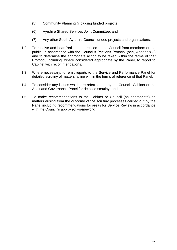- (5) Community Planning (including funded projects);
- (6) Ayrshire Shared Services Joint Committee; and
- (7) Any other South Ayrshire Council funded projects and organisations.
- 1.2 To receive and hear Petitions addressed to the Council from members of the public, in accordance with the Council's Petitions Protocol (see, [Appendix 3\)](#page-47-0) and to determine the appropriate action to be taken within the terms of that Protocol, including, where considered appropriate by the Panel, to report to Cabinet with recommendations.
- 1.3 Where necessary, to remit reports to the Service and Performance Panel for detailed scrutiny of matters falling within the terms of reference of that Panel;
- 1.4 To consider any issues which are referred to it by the Council, Cabinet or the Audit and Governance Panel for detailed scrutiny; and
- 1.5 To make recommendations to the Cabinet or Council (as appropriate) on matters arising from the outcome of the scrutiny processes carried out by the Panel including recommendations for areas for Service Review in accordance with the Council's approved [Framework.](https://ww20.south-ayrshire.gov.uk/ext/committee/CommitteePapers2014/Leadership%20Panel/17th%20June/17%20June%2014%20Item%205(1)(d)%20Appendix.pdf)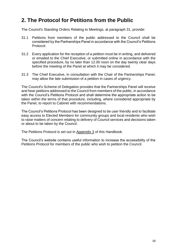# <span id="page-29-0"></span>**2. The Protocol for Petitions from the Public**

The Council's Standing Orders Relating to Meetings, at paragraph 31, provide:

- 31.1 Petitions from members of the public addressed to the Council shall be considered by the Partnerships Panel in accordance with the Council's Petitions Protocol.
- 31.2 Every application for the reception of a petition must be in writing, and delivered or emailed to the Chief Executive, or submitted online in accordance with the specified procedure, by no later than 12.00 noon on the day twenty clear days before the meeting of the Panel at which it may be considered*.*
- 31.3 The Chief Executive, in consultation with the Chair of the Partnerships Panel, may allow the late submission of a petition in cases of urgency.

The Council's Scheme of Delegation provides that the Partnerships Panel will receive and hear petitions addressed to the Council from members of the public, in accordance with the Council's Petitions Protocol and shall determine the appropriate action to be taken within the terms of that procedure, including, where considered appropriate by the Panel, to report to Cabinet with recommendations.

The Council's Petitions Protocol has been designed to be user friendly and to facilitate easy access to Elected Members for community groups and local residents who wish to raise matters of concern relating to delivery of Council services and decisions taken or about to be taken by the Council.

The Petitions Protocol is set out in [Appendix 3](#page-47-0) of this Handbook.

The Council's website contains useful information to increase the accessibility of the Petitions Protocol for members of the public who wish to petition the Council.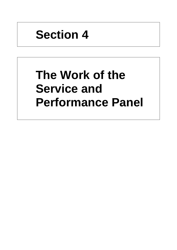# **Section 4**

# **The Work of the Service and Performance Panel**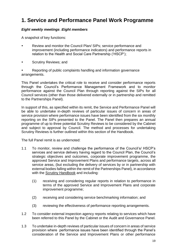# <span id="page-33-0"></span>**1. Service and Performance Panel Work Programme**

### *Eight weekly meetings :Eight members*

A snapshot of key functions:

- Review and monitor the Council Plan/ SIPs; service performance and improvement (including performance indicators) and performance reports in relation to the Health and Social Care Partnership ('HSCP');
- Scrutiny Reviews; and

 Reporting of public complaints handling and information governance arrangements.

This Panel undertakes the critical role to receive and consider performance reports through the Council's Performance Management Framework and to monitor performance against the Council Plan through reporting against the SIPs for all Council services (other than those delivered externally or in partnership and remitted to the Partnerships Panel).

In support of this, as specified within its remit, the Service and Performance Panel will be able to undertake in-depth reviews of particular issues of concern in areas of service provision where performance issues have been identified from the six monthly reporting on the SIPs presented to the Panel. The Panel then prepares an annual programme of up to three potential Scrutiny Reviews to be considered by the Cabinet and subject to approval by Council. The method and processes for undertaking Scrutiny Reviews is further outlined within this section of the Handbook.

The full Panel remit is as undernoted:

- 1.1 To monitor, review and challenge the performance of the Council's/ HSCP's services and service delivery having regard to the Council Plan, the Council's strategic objectives and outcomes, corporate improvement programme, the approved Service and Improvement Plans and performance targets, across all service areas, (but excluding the delivery of services by or in partnership with external bodies falling within the remit of the Partnerships Panel), in accordance with the **Scrutiny Handbook** and including:
	- (1) receiving and considering regular reports in relation to performance in terms of the approved Service and Improvement Plans and corporate improvement programme;
	- (2) receiving and considering service benchmarking information; and
	- (3) reviewing the effectiveness of performance reporting arrangements.
- 1.2 To consider external inspection agency reports relating to services which have been referred to this Panel by the Cabinet or the Audit and Governance Panel.
- 1.3 To undertake in-depth reviews of particular issues of concern in areas of service provision where performance issues have been identified through the Panel's consideration of the Service and Improvement Plans or other performance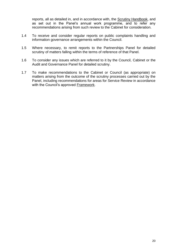reports, all as detailed in, and in accordance with, the [Scrutiny Handbook,](https://ww20.south-ayrshire.gov.uk/corporateservices/LegalAdmin/CommitteeInformation/Scrutiny%20Handbook.pdf) and as set out in the Panel's annual work programme, and to refer any recommendations arising from such review to the Cabinet for consideration.

- 1.4 To receive and consider regular reports on public complaints handling and information governance arrangements within the Council.
- 1.5 Where necessary, to remit reports to the Partnerships Panel for detailed scrutiny of matters falling within the terms of reference of that Panel.
- 1.6 To consider any issues which are referred to it by the Council, Cabinet or the Audit and Governance Panel for detailed scrutiny.
- 1.7 To make recommendations to the Cabinet or Council (as appropriate) on matters arising from the outcome of the scrutiny processes carried out by the Panel, including recommendations for areas for Service Review in accordance with the Council's approved [Framework.](https://ww20.south-ayrshire.gov.uk/ext/committee/CommitteePapers2014/Leadership%20Panel/17th%20June/17%20June%2014%20Item%205(1)(d)%20Appendix.pdf)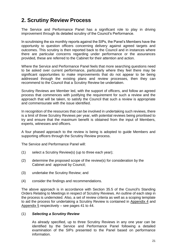# <span id="page-35-0"></span>**2. Scrutiny Review Process**

The Service and Performance Panel has a significant role to play in driving improvement through its detailed scrutiny of the Council's Performance.

In scrutinising the six monthly reports against the SIPs, the Panel's Members have the opportunity to question officers concerning delivery against agreed targets and outcomes. This scrutiny is then reported back to the Council and in instances where there are particular concerns regarding under performance or the assurances provided, these are referred to the Cabinet for their attention and action.

Where the Service and Performance Panel feels that more searching questions need to be asked over current performance, particularly where they feel there may be significant opportunities to make improvements that do not appear to be being addressed through the existing plans and review processes, then they can recommend to the Council that a Scrutiny Review be undertaken.

Scrutiny Reviews are Member led, with the support of officers, and follow an agreed process that commences with justifying the requirement for such a review and the approach that will be taken, to satisfy the Council that such a review is appropriate and commensurate with the issue identified.

In recognition of the resources that can be involved in undertaking such reviews, there is a limit of three Scrutiny Reviews per year, with potential reviews being prioritised to try and ensure that the maximum benefit is obtained from the input of Members, experts, witnesses and officers.

A four phased approach to the review is being is adopted to guide Members and supporting officers through the Scrutiny Review process.

The Service and Performance Panel will:

- (1) select a Scrutiny Review(s) (up to three each year);
- (2) determine the proposed scope of the review(s) for consideration by the Cabinet and approval by Council;
- (3) undertake the Scrutiny Review; and
- (4) consider the findings and recommendations.

The above approach is in accordance with Section 35.5 of the Council's Standing Orders Relating to Meetings in respect of Scrutiny Reviews. An outline of each step in the process is undernoted. Also, a set of review criteria as well as a scoping template to aid the process for undertaking a Scrutiny Review is contained in [Appendix 4](#page-52-0) and [Appendix 5](#page-53-0) respectively – see pages 41 to 44.

#### (1) *Selecting a Scrutiny Review*

As already specified, up to three Scrutiny Reviews in any one year can be identified by the Service and Performance Panel following a detailed examination of the SIPs presented to the Panel based on performance information.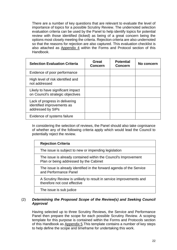There are a number of key questions that are relevant to evaluate the level of importance of topics for a possible Scrutiny Review. The undernoted selection evaluation criteria can be used by the Panel to help identify topics for potential review with those identified (ticked) as being of a great concern being the options most closely meeting the criteria. Rejection criteria are also undernoted so that the reasons for rejection are also captured. This evaluation checklist is also attached as [Appendix 4](#page-52-0) within the Forms and Protocol section of this Handbook.

| <b>Selection Evaluation Criteria</b>                                              | Great<br><b>Concern</b> | <b>Potential</b><br><b>Concern</b> | No concern |
|-----------------------------------------------------------------------------------|-------------------------|------------------------------------|------------|
| Evidence of poor performance                                                      |                         |                                    |            |
| High level of risk identified and<br>not addressed                                |                         |                                    |            |
| Likely to have significant impact<br>on Council's strategic objectives            |                         |                                    |            |
| Lack of progress in delivering<br>identified improvements as<br>addressed by SIPs |                         |                                    |            |
| Evidence of systems failure                                                       |                         |                                    |            |

In considering the selection of reviews, the Panel should also take cognisance of whether any of the following criteria apply which would lead the Council to potentially reject the review.

| <b>Rejection Criteria</b>                                                                                 |
|-----------------------------------------------------------------------------------------------------------|
| The issue is subject to new or impending legislation                                                      |
| The issue is already contained within the Council's Improvement<br>Plan or being addressed by the Cabinet |
| The issue is already identified in the forward agenda of the Service<br>and Performance Panel             |
| A Scrutiny Review is unlikely to result in service improvements and<br>therefore not cost effective       |
| The issue is sub judice                                                                                   |

#### (2) *Determining the Proposed Scope of the Review(s) and Seeking Council Approval*

Having selected up to three Scrutiny Reviews, the Service and Performance Panel then prepare the scope for each possible Scrutiny Review. A scoping template for this purpose is contained within the Forms and Protocols section of this Handbook as [Appendix 5.](#page-53-0)This template contains a number of key steps to help define the scope and timeframe for undertaking this work.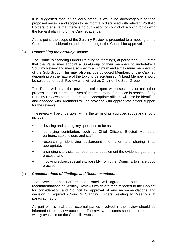It is suggested that, at an early stage, it would be advantageous for the proposed reviews and scopes to be informally discussed with relevant Portfolio Holders to ensure that there is no duplication or conflict of scoping topics with the forward planning of the Cabinet agenda.

At this point, the scope of the Scrutiny Review is presented to a meeting of the Cabinet for consideration and to a meeting of the Council for approval.

#### (3) *Undertaking the Scrutiny Review*

The Council's Standing Orders Relating to Meetings, at paragraph 35.5, state that the Panel may appoint a Sub-Group of their members to undertake a Scrutiny Review and may also specify a minimum and a maximum membership of the Sub-Group. This may also include co-opted Members of the Cabinet, depending on the nature of the topic to be scrutinised. A Lead Member should be selected for each Review who will act as Chair of the Sub- Group.

The Panel will have the power to call expert witnesses and/ or call other professionals or representatives of interest groups for advice in respect of any Scrutiny Reviews being undertaken. Appropriate officers will also be identified and engaged with. Members will be provided with appropriate officer support for the reviews.

The review will be undertaken within the terms of its approved scope and should include:

- devising and setting key questions to be asked;
- identifying contributors such as Chief Officers, Elected Members, partners, stakeholders and staff;
- researching/ identifying background information and sharing it as appropriate;
- arranging site visits, as required, to supplement the evidence gathering process; and
- involving subject specialists, possibly from other Councils, to share good practice.

#### (4) *Considerations of Findings and Recommendations*

The Service and Performance Panel will agree the outcomes and recommendations of Scrutiny Reviews which are then reported to the Cabinet for consideration and Council for approval of any recommendations and decision if required (Council's Standing Orders Relating to Meetings at paragraph 35.5).

As part of this final step, external parties involved in the review should be informed of the review outcomes. The review outcomes should also be made widely available on the Council's website.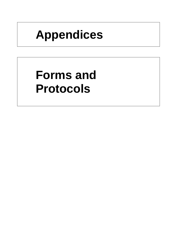# **Appendices**

# **Forms and Protocols**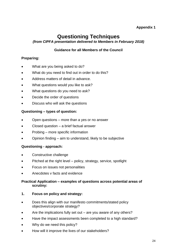## **Appendix 1**

# **Questioning Techniques**

### <span id="page-41-0"></span>*(from CIPFA presentation delivered to Members in February 2018)*

## **Guidance for all Members of the Council**

## **Preparing:**

- What are you being asked to do?
- What do you need to find out in order to do this?
- Address matters of detail in advance.
- What questions would you like to ask?
- What questions do you need to ask?
- Decide the order of questions
- Discuss who will ask the questions

### **Questioning – types of question:**

- Open questions more than a yes or no answer
- Closed question a brief factual answer
- Probing more specific information
- Opinion finding aim to understand, likely to be subjective

### **Questioning - approach:**

- Constructive challenge
- Pitched at the right level policy, strategy, service, spotlight
- Focus on issues not personalities
- Anecdotes v facts and evidence

#### **Practical Application – examples of questions across potential areas of scrutiny:**

#### **1. Focus on policy and strategy:**

- Does this align with our manifesto commitments/stated policy objectives/corporate strategy?
- Are the implications fully set out  $-$  are you aware of any others?
- Have the impact assessments been completed to a high standard?
- Why do we need this policy?
- How will it improve the lives of our stakeholders?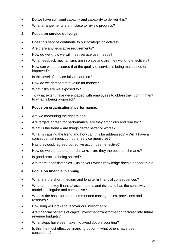- Do we have sufficient capacity and capability to deliver this?
- What arrangements are in place to review progress?

## **2. Focus on service delivery:**

- Does this service contribute to our strategic objectives?
- Are there any legislative requirements?
- How do we know we will meet service user needs?
- What feedback mechanisms are in place and are they working effectively?
- How can we be assured that the quality of service is being maintained or improved?
- Is this level of service fully resourced?
- How do we demonstrate value for money?
- What risks are we exposed to?
- To what extent have we engaged with employees to obtain their commitment to what is being proposed?

## **3. Focus on organisational performance:**

- Are we measuring the right things?
- Are targets agreed for performance, are they ambitious and realistic?
- What is the trend  $-$  are things getter better or worse?
- What is causing the trend and how can this be addressed? Will it have a consequential impact on other service measures?
- Has previously agreed corrective action been effective?
- How do we compare to benchmarks are they the best benchmarks?
- Is good practice being shared?
- Are there inconsistencies using your wider knowledge does it appear true?

## **4. Focus on financial planning:**

- What are the short, medium and long term financial consequences?
- What are the key financial assumptions and risks and has the sensitivity been modelled singular and cumulative?
- What is the basis for the recommended contingencies, provisions and reserves?
- How long will it take to recover our investment?
- Are financial benefits of capital investment/transformation factored into future revenue budgets?
- What steps have been taken to avoid double counting?
- Is this the most effective financing option what others have been considered?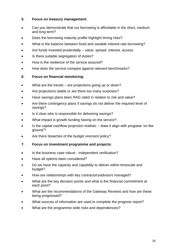### **5. Focus on treasury management:**

- Can you demonstrate that our borrowing is affordable in the short, medium and long term?
- Does the borrowing maturity profile highlight timing risks?
- What is the balance between fixed and variable interest rate borrowing?
- Are funds invested prudentially value, spread, interest, access.
- Is there suitable segregation of duties?
- How is the resilience of the service assured?
- How does the service compare against relevant benchmarks?

## **6. Focus on financial monitoring:**

- What are the trends are projections going up or down?
- Are projections stable or are there too many surprises?
- Have savings plans been RAG rated in relation to risk and value?
- Are there contingency plans if savings do not deliver the required level of savings?
- Is it clear who is responsible for delivering savings?
- What impact is growth funding having on the service?
- Is the capital cashflow projection realistic does it align with progress 'on the ground'?
- Are there breaches of the budget virement policy?

### **7. Focus on investment programme and projects:**

- Is the business case robust independent verification?
- Have all options been considered?
- Do we have the capacity and capability to deliver within timescale and budget?
- How are relationships with key contractors/advisors managed?
- What are the key decision points and what is the financial commitment at each point?
- What are the recommendations of the Gateway Reviews and how are these being progressed?
- What sources of information are used to complete the progress report?
- What are the programme wide risks and dependencies?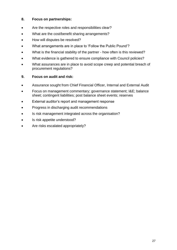## **8. Focus on partnerships:**

- Are the respective roles and responsibilities clear?
- What are the cost/benefit sharing arrangements?
- How will disputes be resolved?
- What arrangements are in place to 'Follow the Public Pound'?
- What is the financial stability of the partner how often is this reviewed?
- What evidence is gathered to ensure compliance with Council policies?
- What assurances are in place to avoid scope creep and potential breach of procurement regulations?

## **9. Focus on audit and risk:**

- Assurance sought from Chief Financial Officer, Internal and External Audit
- Focus on management commentary; governance statement; I&E; balance sheet; contingent liabilities; post balance sheet events; reserves
- External auditor's report and management response
- Progress in discharging audit recommendations
- Is risk management integrated across the organisation?
- Is risk appetite understood?
- Are risks escalated appropriately?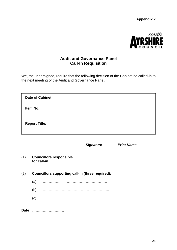**Appendix 2**



## <span id="page-45-0"></span>**Audit and Governance Panel Call-In Requisition**

We, the undersigned, require that the following decision of the Cabinet be called-in to the next meeting of the Audit and Governance Panel.

| <b>Date of Cabinet:</b> |  |
|-------------------------|--|
| Item No:                |  |
| <b>Report Title:</b>    |  |

*Signature Print Name*

| (1)  | for call-in | <b>Councillors responsible</b>                          |
|------|-------------|---------------------------------------------------------|
| (2)  |             | <b>Councillors supporting call-in (three required):</b> |
|      | (a)         |                                                         |
|      | (b)         |                                                         |
|      | (c)         |                                                         |
| Date |             |                                                         |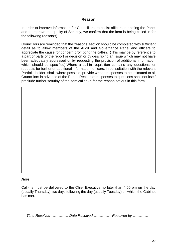### **Reason**

In order to improve information for Councillors, to assist officers in briefing the Panel and to improve the quality of Scrutiny, we confirm that the item is being called-in for the following reason(s).

Councillors are reminded that the 'reasons' section should be completed with sufficient detail as to allow members of the Audit and Governance Panel and officers to appreciate the cause for concern prompting the call-in. (This may be by reference to a part or parts of the report or decision or by describing an issue which may not have been adequately addressed or by requesting the provision of additional information which should be specified). Where a call-in requisition contains any questions, or requests for further or additional information, officers, in consultation with the relevant Portfolio holder, shall, where possible, provide written responses to be intimated to all Councillors in advance of the Panel. Receipt of responses to questions shall not itself preclude further scrutiny of the item called-in for the reason set out in this form.

#### *Note*

Call-ins must be delivered to the Chief Executive no later than 4.00 pm on the day (usually Thursday) two days following the day (usually Tuesday) on which the Cabinet has met.

*Time Received…………… Date Received ……………Received by ……………*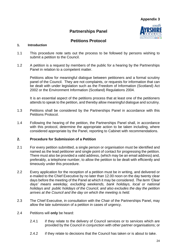## **Partnerships Panel**



## **Petitions Protocol**

#### <span id="page-47-0"></span>**1. Introduction**

- 1.1 This procedure note sets out the process to be followed by persons wishing to submit a petition to the Council.
- 1.2 A petition is a request by members of the public for a hearing by the Partnerships Panel in relation to a competent matter.

Petitions allow for meaningful dialogue between petitioners and a formal scrutiny panel of the Council. They are not complaints, or requests for information that can be dealt with under legislation such as the Freedom of Information (Scotland) Act 2002 or the Environment Information (Scotland) Regulations 2004.

It is an essential aspect of the petitions process that at least one of the petitioners attends to speak to the petition, and thereby allow meaningful dialogue and scrutiny.

- 1.3 Petitions shall be considered by the Partnerships Panel in accordance with this Petitions Protocol.
- 1.4 Following the hearing of the petition, the Partnerships Panel shall, in accordance with this protocol, determine the appropriate action to be taken including, where considered appropriate by the Panel, reporting to Cabinet with recommendations.

#### **2. Procedure for Submission of a Petition**

- 2.1 For every petition submitted, a single person or organisation must be identified and named as the lead petitioner and single point of contact for progressing the petition. There must also be provided a valid address, (which may be an email address) and, preferably, a telephone number, to allow the petition to be dealt with efficiently and timeously under this procedure.
- 2.2 Every application for the reception of a petition must be in writing, and delivered or e-mailed to the Chief Executive by no later than 12.00 noon on the day twenty clear days before the meeting of the Panel at which it may be considered*. The term 'Clear days' means weekday, excluding weekends, bank holidays, local or national holidays and public holidays of the Council, and also excludes the day the petition arrives at the Council and the day on which the meeting is held.*
- 2.3 The Chief Executive, in consultation with the Chair of the Partnerships Panel, may allow the late submission of a petition in cases of urgency.
- 2.4 Petitions will **only** be heard:
	- 2.4.1 if they relate to the delivery of Council services or to services which are provided by the Council in conjunction with other partner organisations; or
	- 2.4.2 if they relate to decisions that the Council has taken or is about to take.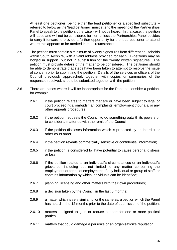At least one petitioner (being either the lead petitioner or a specified substitute – referred to below as the 'lead petitioner) must attend the meeting of the Partnerships Panel to speak to the petition, otherwise it will not be heard. In that case, the petition will lapse and will not be considered further, unless the Partnerships Panel decides to carry it forward to provide a further opportunity for the lead petitioner to attend where this appears to be merited in the circumstances.

- 2.5 The petition must contain a minimum of twenty signatures from different households within South Ayrshire, with a valid address provided for each. E-petitions may be lodged in support, but not in substitution for the twenty written signatures. The petition must provide details of the matter to be considered. The petitioner should be able to demonstrate that steps have been taken to attempt to resolve the issue of concern prior to submitting the petition. Details of the services or officers of the Council previously approached, together with copies or summaries of the responses received, should be submitted together with the petition.
- 2.6 There are cases where it will be inappropriate for the Panel to consider a petition, for example:
	- 2.6.1 if the petition relates to matters that are or have been subject to legal or court proceedings, ombudsman complaints, employment tribunals, or any other appeals procedures;
	- 2.6.2 if the petition requests the Council to do something outwith its powers or to consider a matter outwith the remit of the Council;
	- 2.6.3 if the petition discloses information which is protected by an interdict or other court order;
	- 2.6.4 if the petition reveals commercially sensitive or confidential information;
	- 2.6.5 if the petition is considered to have potential to cause personal distress or loss;
	- 2.6.6 if the petition relates to an individual's circumstances or an individual's grievance, including but not limited to any matter concerning the employment or terms of employment of any individual or group of staff, or contains information by which individuals can be identified;
	- 2.6.7 planning, licensing and other matters with their own procedures;
	- 2.6.8 a decision taken by the Council in the last 6 months;
	- 2.6.9 a matter which is very similar to, or the same as, a petition which the Panel has heard in the 12 months prior to the date of submission of the petition;
	- 2.6.10 matters designed to gain or reduce support for one or more political parties;
	- 2.6.11 matters that could damage a person's or an organisation's reputation;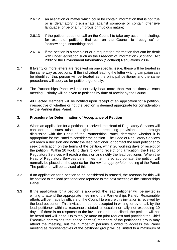- 2.6.12 an allegation or matter which could be contain information that is not true or is defamatory, discriminate against someone or contain offensive language, or be of a humorous or frivolous nature;
- 2.6.13 if the petition does not call on the Council to take any action including, for example, petitions that call on the Council to 'recognise' or 'acknowledge' something; and
- 2.6.14 if the petition is a complaint or a request for information that can be dealt with under legislation such as the Freedom of Information (Scotland) Act 2002 or the Environment Information (Scotland) Regulations 2004.
- 2.7 If twenty or more letters are received on one specific issue, these will be treated in the same way as petitions. If the individual leading the letter writing campaign can be identified, that person will be treated as the principal petitioner and the same procedures will apply as for petitions generally.
- 2.8 The Partnerships Panel will not normally hear more than two petitions at each meeting. Priority will be given to petitions by date of receipt by the Council.
- 2.9 All Elected Members will be notified upon receipt of an application for a petition, irrespective of whether or not the petition is deemed appropriate for consideration by the Partnerships Panel.

#### **3. Procedure for Determination of Acceptance of Petition**

- 3.1 When an application for a petition is received, the Head of Regulatory Services will consider the issues raised in light of the preceding provisions and, through discussion with the Chair of the Partnerships Panel, determine whether it is appropriate for the Panel to consider the petition. The Head of Regulatory Services will reach a decision and notify the lead petitioner, or contact the lead petitioner to seek clarification on the terms of the petition, within 20 working days of receipt of the petition. Within 20 working days following receipt of clarification, the Head of Regulatory Services will reach a decision and notify the lead petitioner. When the Head of Regulatory Services determines that it is so appropriate, the petition will normally be placed on the agenda for the *next or appropriate* meeting of the Panel. The petitioner will be advised of this.
- 3.2 If an application for a petition to be considered is refused, the reasons for this will be notified to the lead petitioner and reported to the next meeting of the Partnerships Panel.
- 3.3 If the application for a petition is approved, the lead petitioner will be invited in writing to attend the appropriate meeting of the Partnerships Panel. Reasonable efforts will be made by officers of the Council to ensure this invitation is received by the lead petitioner. This invitation must be accepted in writing, or by email, by the lead petitioner within a reasonable stated timescale normally not exceeding 10 days. If there is no response to the invitation or it is declined, the petition will not be heard and will lapse. Up to ten (or more on prior request and provided the Chief Executive determines that space permits) members of the petitioner's group may attend the meeting, but the number of persons allowed to address the Panel meeting as representatives of the petitioner group will be limited to a maximum of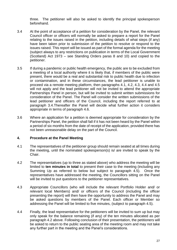three. The petitioner will also be asked to identify the principal spokesperson beforehand.

- 3.4 At the point of acceptance of a petition for consideration by the Panel, the relevant Council officer or officers will normally be asked to prepare a report for the Panel relating to the issues raised in the petition, including details of what steps (if any) have been taken prior to submission of the petition to resolve or respond to the issues raised. This report will be issued as part of the formal agenda for the meeting (subject always to any restrictions on publication in terms of the Local Government (Scotland) Act 1973 – see Standing Orders paras 8 and 10) and copied to the petitioner.
- 3.5 If during a pandemic or public health emergency, the public are to be excluded from a meeting of a local authority where it is likely that, if members of the public were present, there would be a real and substantial risk to public health due to infection or contamination, and in these circumstances, the lead petitioner is unable to proceed via a remote meeting platform, then paragraphs 4.1, 4.2, 4.3, 4.4 and 4.5 will not apply and the lead petitioner will not be invited to attend the appropriate Partnerships Panel in person, but will be invited to submit written submissions for consideration of the Panel. The Panel will consider the written submissions of the lead petitioner and officers of the Council, including the report referred to at paragraph 3.4.Thereafter the Panel will decide what further action it considers appropriate in terms of paragraph 4.6.
- 3.6 Where an application for a petition is deemed appropriate for consideration by the Partnerships Panel, the petition shall fall if it has not been heard by the Panel within a period of six months from the date of receipt of the application, provided there has not been unreasonable delay on the part of the Council.

#### **4. Procedure at the Panel Meeting**

- 4.1 The representatives of the petitioner group should remain seated at all times during the meeting, until the nominated spokesperson(s) is/ are invited to speak by the Chair.
- 4.2 The representatives (up to three as stated above) who address the meeting will be limited to **ten minutes in total** to present their case to the meeting (including any Summing Up as referred to below but subject to paragraph 4.5). Once the representatives have addressed the meeting, the Councillors sitting on the Panel will be invited to put questions to the petitioner representatives.
- 4.3 Appropriate Councillors (who will include the relevant Portfolio Holder and/ or relevant local Members) and/ or officers of the Council (including the officer presenting the report) will then have the opportunity to address the Panel and may be asked questions by members of the Panel. Each officer or Member so addressing the Panel will be limited to five minutes, (subject to paragraph 4.5).
- 4.4 Finally, the lead representative for the petitioners will be invited to sum up but may only speak for the balance remaining (if any) of the ten minutes allocated as per paragraph 4.2 above. Following conclusion of their presentation, the petitioners will be asked to return to the public seating area of the meeting room and may not take any further part in the meeting and the Panel's considerations.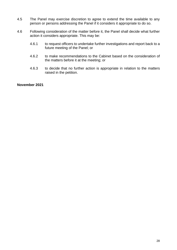- 4.5 The Panel may exercise discretion to agree to extend the time available to any person or persons addressing the Panel if it considers it appropriate to do so.
- 4.6 Following consideration of the matter before it, the Panel shall decide what further action it considers appropriate. This may be:
	- 4.6.1 to request officers to undertake further investigations and report back to a future meeting of the Panel; or
	- 4.6.2 to make recommendations to the Cabinet based on the consideration of the matters before it at the meeting; or
	- 4.6.3 to decide that no further action is appropriate in relation to the matters raised in the petition.

#### **November 2021**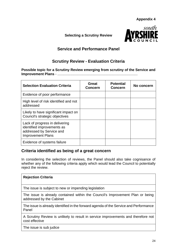**Appendix 4**

<span id="page-52-0"></span>**Selecting a Scrutiny Review**



## **Service and Performance Panel**

## **Scrutiny Review - Evaluation Criteria**

**Possible topic for a Scrutiny Review emerging from scrutiny of the Service and Improvement Plans** - .................................................................................

| <b>Selection Evaluation Criteria</b>                                                                                 | Great<br><b>Concern</b> | <b>Potential</b><br><b>Concern</b> | No concern |
|----------------------------------------------------------------------------------------------------------------------|-------------------------|------------------------------------|------------|
| Evidence of poor performance                                                                                         |                         |                                    |            |
| High level of risk identified and not<br>addressed                                                                   |                         |                                    |            |
| Likely to have significant impact on<br>Council's strategic objectives                                               |                         |                                    |            |
| Lack of progress in delivering<br>identified improvements as<br>addressed by Service and<br><b>Improvement Plans</b> |                         |                                    |            |
| Evidence of systems failure                                                                                          |                         |                                    |            |

## **Criteria identified as being of a great concern**

In considering the selection of reviews, the Panel should also take cognisance of whether any of the following criteria apply which would lead the Council to potentially reject the review.

| <b>Rejection Criteria</b>                                                                                 |
|-----------------------------------------------------------------------------------------------------------|
| The issue is subject to new or impending legislation                                                      |
| The issue is already contained within the Council's Improvement Plan or being<br>addressed by the Cabinet |
| The issue is already identified in the forward agenda of the Service and Performance<br>Panel             |
| A Scrutiny Review is unlikely to result in service improvements and therefore not<br>cost effective       |
| The issue is sub judice                                                                                   |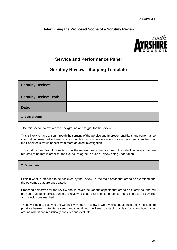### <span id="page-53-0"></span>**Determining the Proposed Scope of a Scrutiny Review**



## **Service and Performance Panel**

## **Scrutiny Review - Scoping Template**

| <b>Scrutiny Review Lead:</b> |  |
|------------------------------|--|
|                              |  |
| Date:                        |  |

#### **1. Background**

Use this section to explain the background and trigger for the review.

This is likely to have arisen through the scrutiny of the Service and Improvement Plans and performance information presented to Panel on a six monthly basis, where areas of concern have been identified that the Panel feels would benefit from more detailed investigation.

It should be clear from this section how the review meets one or more of the selection criteria that are required to be met in order for the Council to agree to such a review being undertaken.

#### **2. Objectives**

Explain what is intended to be achieved by the review i.e. the main areas that are to be examined and the outcomes that are anticipated.

Proposed objectives for the review should cover the various aspects that are to be examined, and will provide a useful checklist during the review to ensure all aspects of concern and interest are covered and conclusions reached.

These will help to justify to the Council why such a review is worthwhile; should help the Panel itself to prioritise between potential reviews; and should help the Panel to establish a clear focus and boundaries around what it can realistically consider and evaluate.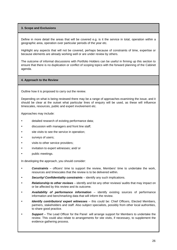#### **3. Scope and Exclusions**

Define in more detail the areas that will be covered e.g. is it the service in total, operation within a geographic area, operation over particular periods of the year etc.

Highlight any aspects that will not be covered, perhaps because of constraints of time, expertise or because elements are already working well or are under review by others.

The outcome of informal discussions with Portfolio Holders can be useful in firming up this section to ensure that there is no duplication or conflict of scoping topics with the forward planning of the Cabinet agenda.

#### **4. Approach to the Review**

Outline how it is proposed to carry out the review.

Depending on what is being reviewed there may be a range of approaches examining the issue, and it should be clear at the outset what particular lines of enquiry will be used, as these will influence timescales, resources, public and expert involvement etc.

Approaches may include:

- detailed research of existing performance data;
- discussion with managers and front line staff;
- site visits to see the service in operation;
- surveys of users;
- visits to other service providers;
- invitation to expert witnesses; and/ or
- public meetings.

In developing the approach, you should consider:

- *Constraints* officers' time to support the review, Members' time to undertake the work, resources and timescales that the review is to be delivered within.
- *Security/ Confidentiality constraints* identify any such implications.
- *Relationship to other reviews*  identify and list any other reviews/ audits that may impact on or be affected by this review and its outcome.
- *Availability of performance information* identify existing sources of performance information and benchmarking data that will inform the review.
- *Identify contributors/ expert witnesses* this could be: Chief Officers, Elected Members, partners, stakeholders and staff. Also subject specialists, possibly from other local authorities, to share good practice.
- *Support*  The Lead Officer for the Panel will arrange support for Members to undertake the review. This could also relate to arrangements for site visits, if necessary, to supplement the evidence gathering process.